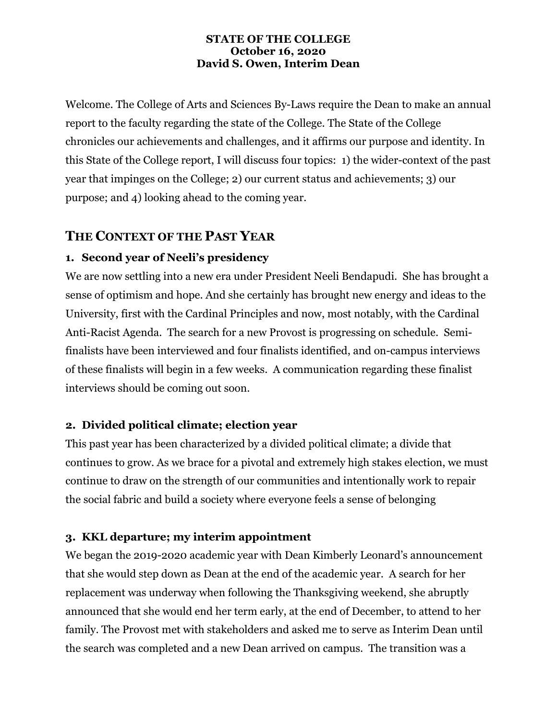#### **STATE OF THE COLLEGE October 16, 2020 David S. Owen, Interim Dean**

Welcome. The College of Arts and Sciences By-Laws require the Dean to make an annual report to the faculty regarding the state of the College. The State of the College chronicles our achievements and challenges, and it affirms our purpose and identity. In this State of the College report, I will discuss four topics: 1) the wider-context of the past year that impinges on the College; 2) our current status and achievements; 3) our purpose; and 4) looking ahead to the coming year.

# **THE CONTEXT OF THE PAST YEAR**

## **1. Second year of Neeli's presidency**

We are now settling into a new era under President Neeli Bendapudi. She has brought a sense of optimism and hope. And she certainly has brought new energy and ideas to the University, first with the Cardinal Principles and now, most notably, with the Cardinal Anti-Racist Agenda. The search for a new Provost is progressing on schedule. Semifinalists have been interviewed and four finalists identified, and on-campus interviews of these finalists will begin in a few weeks. A communication regarding these finalist interviews should be coming out soon.

## **2. Divided political climate; election year**

This past year has been characterized by a divided political climate; a divide that continues to grow. As we brace for a pivotal and extremely high stakes election, we must continue to draw on the strength of our communities and intentionally work to repair the social fabric and build a society where everyone feels a sense of belonging

### **3. KKL departure; my interim appointment**

We began the 2019-2020 academic year with Dean Kimberly Leonard's announcement that she would step down as Dean at the end of the academic year. A search for her replacement was underway when following the Thanksgiving weekend, she abruptly announced that she would end her term early, at the end of December, to attend to her family. The Provost met with stakeholders and asked me to serve as Interim Dean until the search was completed and a new Dean arrived on campus. The transition was a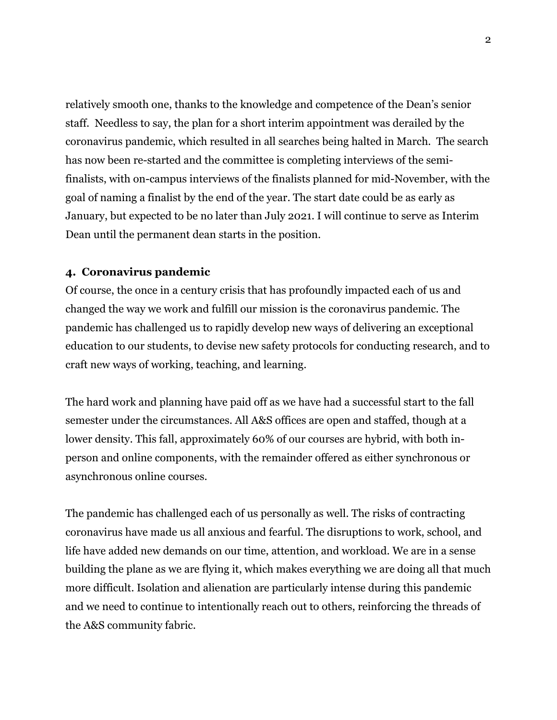relatively smooth one, thanks to the knowledge and competence of the Dean's senior staff. Needless to say, the plan for a short interim appointment was derailed by the coronavirus pandemic, which resulted in all searches being halted in March. The search has now been re-started and the committee is completing interviews of the semifinalists, with on-campus interviews of the finalists planned for mid-November, with the goal of naming a finalist by the end of the year. The start date could be as early as January, but expected to be no later than July 2021. I will continue to serve as Interim Dean until the permanent dean starts in the position.

#### **4. Coronavirus pandemic**

Of course, the once in a century crisis that has profoundly impacted each of us and changed the way we work and fulfill our mission is the coronavirus pandemic. The pandemic has challenged us to rapidly develop new ways of delivering an exceptional education to our students, to devise new safety protocols for conducting research, and to craft new ways of working, teaching, and learning.

The hard work and planning have paid off as we have had a successful start to the fall semester under the circumstances. All A&S offices are open and staffed, though at a lower density. This fall, approximately 60% of our courses are hybrid, with both inperson and online components, with the remainder offered as either synchronous or asynchronous online courses.

The pandemic has challenged each of us personally as well. The risks of contracting coronavirus have made us all anxious and fearful. The disruptions to work, school, and life have added new demands on our time, attention, and workload. We are in a sense building the plane as we are flying it, which makes everything we are doing all that much more difficult. Isolation and alienation are particularly intense during this pandemic and we need to continue to intentionally reach out to others, reinforcing the threads of the A&S community fabric.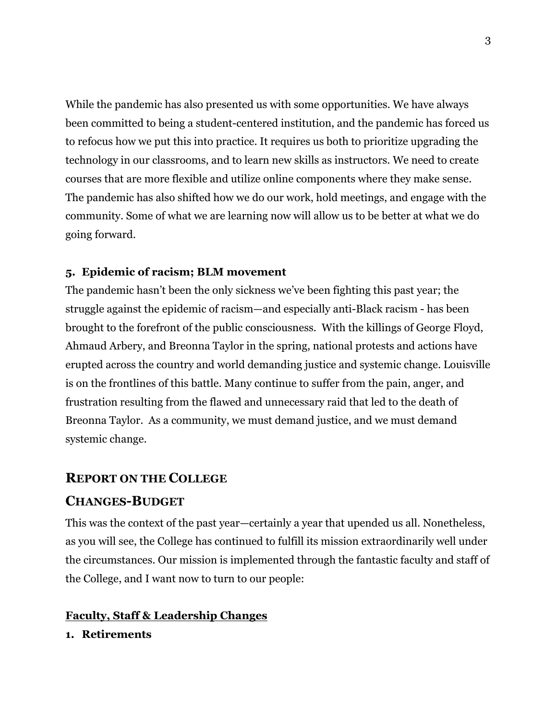While the pandemic has also presented us with some opportunities. We have always been committed to being a student-centered institution, and the pandemic has forced us to refocus how we put this into practice. It requires us both to prioritize upgrading the technology in our classrooms, and to learn new skills as instructors. We need to create courses that are more flexible and utilize online components where they make sense. The pandemic has also shifted how we do our work, hold meetings, and engage with the community. Some of what we are learning now will allow us to be better at what we do going forward.

### **5. Epidemic of racism; BLM movement**

The pandemic hasn't been the only sickness we've been fighting this past year; the struggle against the epidemic of racism—and especially anti-Black racism - has been brought to the forefront of the public consciousness. With the killings of George Floyd, Ahmaud Arbery, and Breonna Taylor in the spring, national protests and actions have erupted across the country and world demanding justice and systemic change. Louisville is on the frontlines of this battle. Many continue to suffer from the pain, anger, and frustration resulting from the flawed and unnecessary raid that led to the death of Breonna Taylor. As a community, we must demand justice, and we must demand systemic change.

#### **REPORT ON THE COLLEGE**

### **CHANGES-BUDGET**

This was the context of the past year—certainly a year that upended us all. Nonetheless, as you will see, the College has continued to fulfill its mission extraordinarily well under the circumstances. Our mission is implemented through the fantastic faculty and staff of the College, and I want now to turn to our people:

#### **Faculty, Staff & Leadership Changes**

#### **1. Retirements**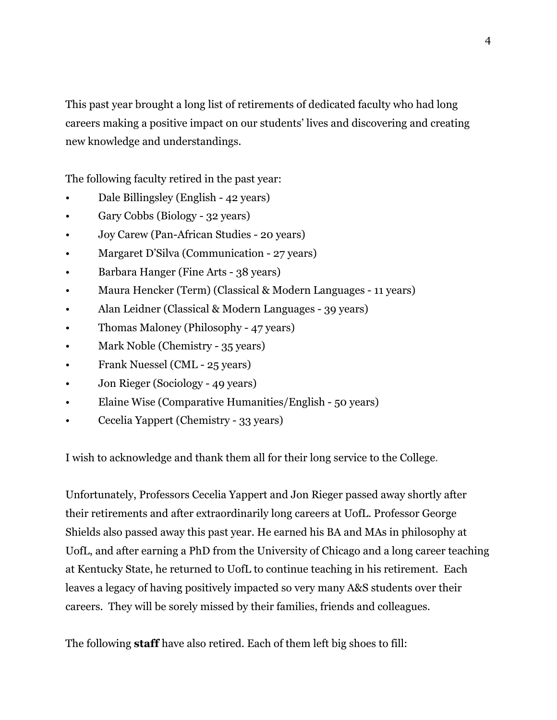This past year brought a long list of retirements of dedicated faculty who had long careers making a positive impact on our students' lives and discovering and creating new knowledge and understandings.

The following faculty retired in the past year:

- Dale Billingsley (English 42 years)
- Gary Cobbs (Biology 32 years)
- Joy Carew (Pan-African Studies 20 years)
- Margaret D'Silva (Communication 27 years)
- Barbara Hanger (Fine Arts 38 years)
- Maura Hencker (Term) (Classical & Modern Languages 11 years)
- Alan Leidner (Classical & Modern Languages 39 years)
- Thomas Maloney (Philosophy 47 years)
- Mark Noble (Chemistry 35 years)
- Frank Nuessel (CML 25 years)
- Jon Rieger (Sociology 49 years)
- Elaine Wise (Comparative Humanities/English 50 years)
- Cecelia Yappert (Chemistry 33 years)

I wish to acknowledge and thank them all for their long service to the College.

Unfortunately, Professors Cecelia Yappert and Jon Rieger passed away shortly after their retirements and after extraordinarily long careers at UofL. Professor George Shields also passed away this past year. He earned his BA and MAs in philosophy at UofL, and after earning a PhD from the University of Chicago and a long career teaching at Kentucky State, he returned to UofL to continue teaching in his retirement. Each leaves a legacy of having positively impacted so very many A&S students over their careers. They will be sorely missed by their families, friends and colleagues.

The following **staff** have also retired. Each of them left big shoes to fill: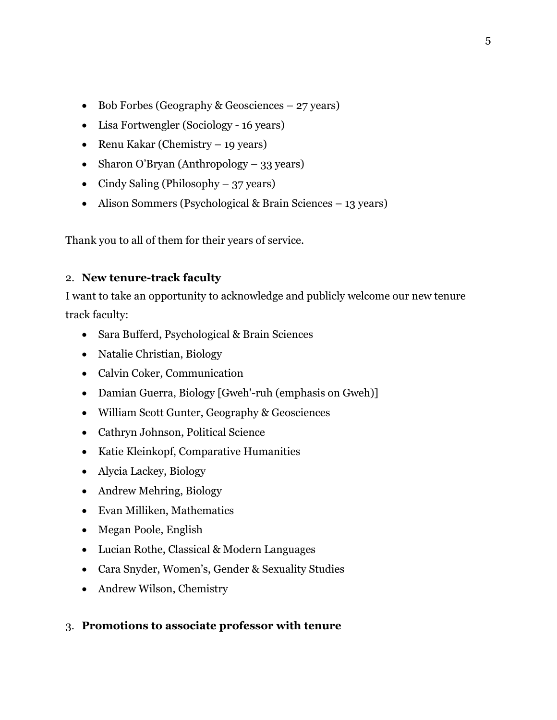- Bob Forbes (Geography & Geosciences 27 years)
- Lisa Fortwengler (Sociology 16 years)
- Renu Kakar (Chemistry 19 years)
- Sharon O'Bryan (Anthropology 33 years)
- Cindy Saling (Philosophy 37 years)
- Alison Sommers (Psychological & Brain Sciences 13 years)

Thank you to all of them for their years of service.

### 2. **New tenure-track faculty**

I want to take an opportunity to acknowledge and publicly welcome our new tenure track faculty:

- Sara Bufferd, Psychological & Brain Sciences
- Natalie Christian, Biology
- Calvin Coker, Communication
- Damian Guerra, Biology [Gweh'-ruh (emphasis on Gweh)]
- William Scott Gunter, Geography & Geosciences
- Cathryn Johnson, Political Science
- Katie Kleinkopf, Comparative Humanities
- Alycia Lackey, Biology
- Andrew Mehring, Biology
- Evan Milliken, Mathematics
- Megan Poole, English
- Lucian Rothe, Classical & Modern Languages
- Cara Snyder, Women's, Gender & Sexuality Studies
- Andrew Wilson, Chemistry

### 3. **Promotions to associate professor with tenure**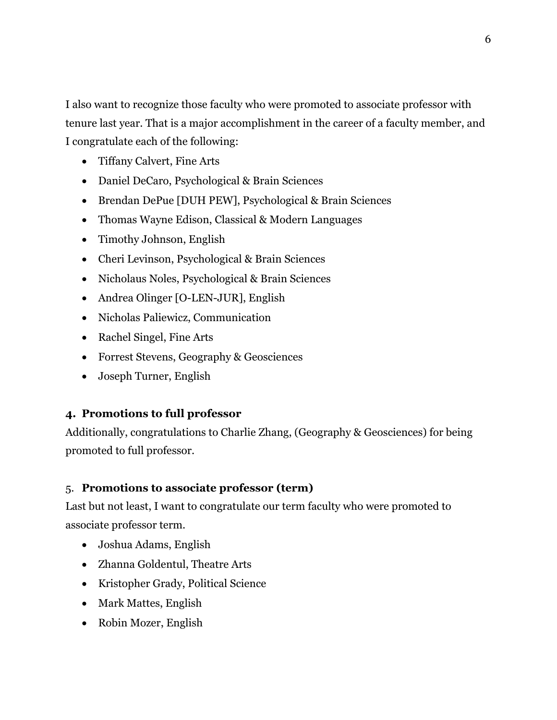I also want to recognize those faculty who were promoted to associate professor with tenure last year. That is a major accomplishment in the career of a faculty member, and I congratulate each of the following:

- Tiffany Calvert, Fine Arts
- Daniel DeCaro, Psychological & Brain Sciences
- Brendan DePue [DUH PEW], Psychological & Brain Sciences
- Thomas Wayne Edison, Classical & Modern Languages
- Timothy Johnson, English
- Cheri Levinson, Psychological & Brain Sciences
- Nicholaus Noles, Psychological & Brain Sciences
- Andrea Olinger [O-LEN-JUR], English
- Nicholas Paliewicz, Communication
- Rachel Singel, Fine Arts
- Forrest Stevens, Geography & Geosciences
- Joseph Turner, English

### **4. Promotions to full professor**

Additionally, congratulations to Charlie Zhang, (Geography & Geosciences) for being promoted to full professor.

### 5. **Promotions to associate professor (term)**

Last but not least, I want to congratulate our term faculty who were promoted to associate professor term.

- Joshua Adams, English
- Zhanna Goldentul, Theatre Arts
- Kristopher Grady, Political Science
- Mark Mattes, English
- Robin Mozer, English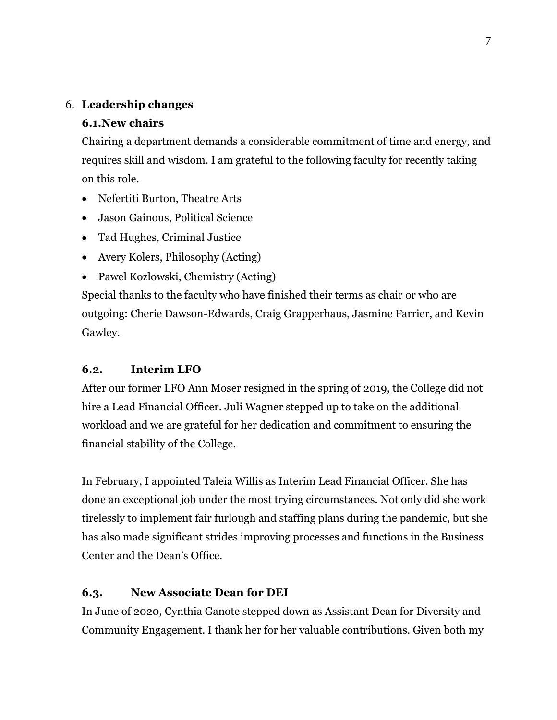### 6. **Leadership changes**

## **6.1.New chairs**

Chairing a department demands a considerable commitment of time and energy, and requires skill and wisdom. I am grateful to the following faculty for recently taking on this role.

- Nefertiti Burton, Theatre Arts
- Jason Gainous, Political Science
- Tad Hughes, Criminal Justice
- Avery Kolers, Philosophy (Acting)
- Pawel Kozlowski, Chemistry (Acting)

Special thanks to the faculty who have finished their terms as chair or who are outgoing: Cherie Dawson-Edwards, Craig Grapperhaus, Jasmine Farrier, and Kevin Gawley.

## **6.2. Interim LFO**

After our former LFO Ann Moser resigned in the spring of 2019, the College did not hire a Lead Financial Officer. Juli Wagner stepped up to take on the additional workload and we are grateful for her dedication and commitment to ensuring the financial stability of the College.

In February, I appointed Taleia Willis as Interim Lead Financial Officer. She has done an exceptional job under the most trying circumstances. Not only did she work tirelessly to implement fair furlough and staffing plans during the pandemic, but she has also made significant strides improving processes and functions in the Business Center and the Dean's Office.

## **6.3. New Associate Dean for DEI**

In June of 2020, Cynthia Ganote stepped down as Assistant Dean for Diversity and Community Engagement. I thank her for her valuable contributions. Given both my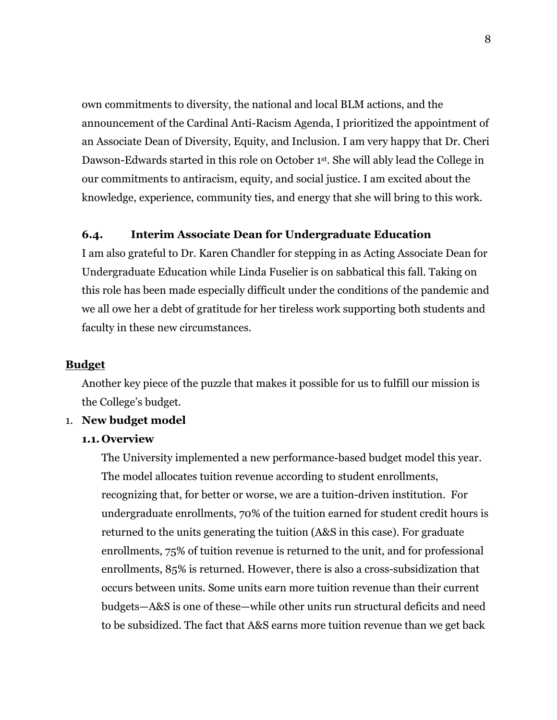own commitments to diversity, the national and local BLM actions, and the announcement of the Cardinal Anti-Racism Agenda, I prioritized the appointment of an Associate Dean of Diversity, Equity, and Inclusion. I am very happy that Dr. Cheri Dawson-Edwards started in this role on October 1st. She will ably lead the College in our commitments to antiracism, equity, and social justice. I am excited about the knowledge, experience, community ties, and energy that she will bring to this work.

### **6.4. Interim Associate Dean for Undergraduate Education**

I am also grateful to Dr. Karen Chandler for stepping in as Acting Associate Dean for Undergraduate Education while Linda Fuselier is on sabbatical this fall. Taking on this role has been made especially difficult under the conditions of the pandemic and we all owe her a debt of gratitude for her tireless work supporting both students and faculty in these new circumstances.

#### **Budget**

Another key piece of the puzzle that makes it possible for us to fulfill our mission is the College's budget.

#### 1. **New budget model**

#### **1.1. Overview**

The University implemented a new performance-based budget model this year. The model allocates tuition revenue according to student enrollments, recognizing that, for better or worse, we are a tuition-driven institution. For undergraduate enrollments, 70% of the tuition earned for student credit hours is returned to the units generating the tuition (A&S in this case). For graduate enrollments, 75% of tuition revenue is returned to the unit, and for professional enrollments, 85% is returned. However, there is also a cross-subsidization that occurs between units. Some units earn more tuition revenue than their current budgets—A&S is one of these—while other units run structural deficits and need to be subsidized. The fact that A&S earns more tuition revenue than we get back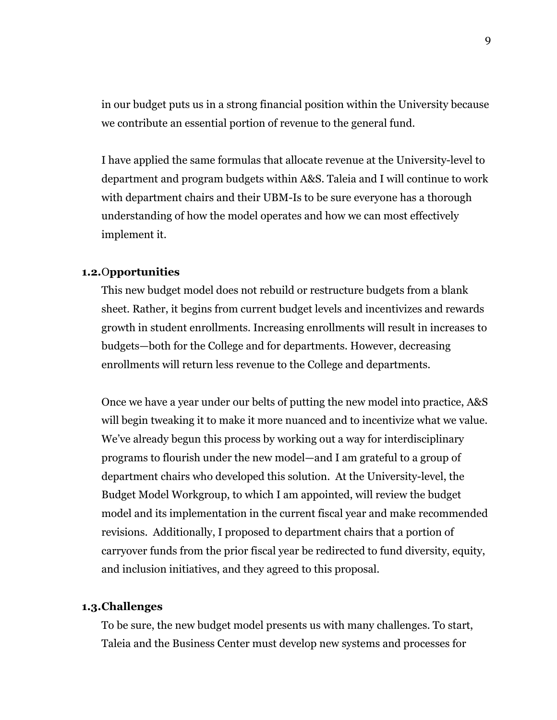in our budget puts us in a strong financial position within the University because we contribute an essential portion of revenue to the general fund.

I have applied the same formulas that allocate revenue at the University-level to department and program budgets within A&S. Taleia and I will continue to work with department chairs and their UBM-Is to be sure everyone has a thorough understanding of how the model operates and how we can most effectively implement it.

#### **1.2.**O**pportunities**

This new budget model does not rebuild or restructure budgets from a blank sheet. Rather, it begins from current budget levels and incentivizes and rewards growth in student enrollments. Increasing enrollments will result in increases to budgets—both for the College and for departments. However, decreasing enrollments will return less revenue to the College and departments.

Once we have a year under our belts of putting the new model into practice, A&S will begin tweaking it to make it more nuanced and to incentivize what we value. We've already begun this process by working out a way for interdisciplinary programs to flourish under the new model—and I am grateful to a group of department chairs who developed this solution. At the University-level, the Budget Model Workgroup, to which I am appointed, will review the budget model and its implementation in the current fiscal year and make recommended revisions. Additionally, I proposed to department chairs that a portion of carryover funds from the prior fiscal year be redirected to fund diversity, equity, and inclusion initiatives, and they agreed to this proposal.

#### **1.3.Challenges**

To be sure, the new budget model presents us with many challenges. To start, Taleia and the Business Center must develop new systems and processes for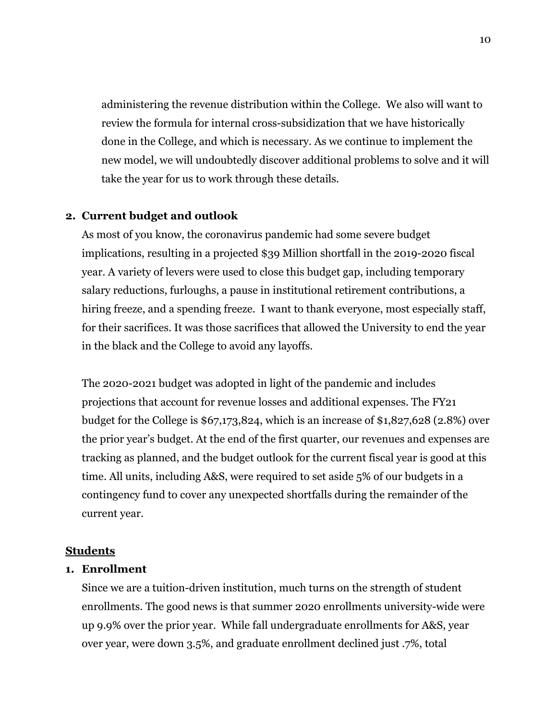administering the revenue distribution within the College. We also will want to review the formula for internal cross-subsidization that we have historically done in the College, and which is necessary. As we continue to implement the new model, we will undoubtedly discover additional problems to solve and it will take the year for us to work through these details.

#### **2. Current budget and outlook**

As most of you know, the coronavirus pandemic had some severe budget implications, resulting in a projected \$39 Million shortfall in the 2019-2020 fiscal year. A variety of levers were used to close this budget gap, including temporary salary reductions, furloughs, a pause in institutional retirement contributions, a hiring freeze, and a spending freeze. I want to thank everyone, most especially staff, for their sacrifices. It was those sacrifices that allowed the University to end the year in the black and the College to avoid any layoffs.

The 2020-2021 budget was adopted in light of the pandemic and includes projections that account for revenue losses and additional expenses. The FY21 budget for the College is \$67,173,824, which is an increase of \$1,827,628 (2.8%) over the prior year's budget. At the end of the first quarter, our revenues and expenses are tracking as planned, and the budget outlook for the current fiscal year is good at this time. All units, including A&S, were required to set aside 5% of our budgets in a contingency fund to cover any unexpected shortfalls during the remainder of the current year.

#### **Students**

#### **1. Enrollment**

Since we are a tuition-driven institution, much turns on the strength of student enrollments. The good news is that summer 2020 enrollments university-wide were up 9.9% over the prior year. While fall undergraduate enrollments for A&S, year over year, were down 3.5%, and graduate enrollment declined just .7%, total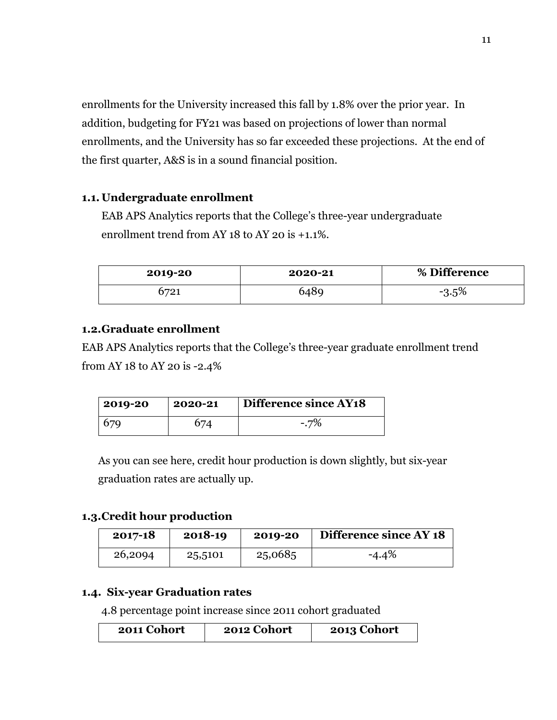enrollments for the University increased this fall by 1.8% over the prior year. In addition, budgeting for FY21 was based on projections of lower than normal enrollments, and the University has so far exceeded these projections. At the end of the first quarter, A&S is in a sound financial position.

### **1.1. Undergraduate enrollment**

EAB APS Analytics reports that the College's three-year undergraduate enrollment trend from AY 18 to AY 20 is +1.1%.

| 2019-20 | 2020-21 | % Difference |
|---------|---------|--------------|
| 721`    | 6489    | $-3.5\%$     |

### **1.2.Graduate enrollment**

EAB APS Analytics reports that the College's three-year graduate enrollment trend from AY 18 to AY 20 is -2.4%

| 2019-20 | 2020-21 | Difference since AY18 |
|---------|---------|-----------------------|
|         |         | $-7\%$                |

As you can see here, credit hour production is down slightly, but six-year graduation rates are actually up.

### **1.3.Credit hour production**

| $2017 - 18$ | 2018-19 | 2019-20 | Difference since AY 18 |
|-------------|---------|---------|------------------------|
| 26,2094     | 25,5101 | 25,0685 | $-4.4%$                |

### **1.4. Six-year Graduation rates**

4.8 percentage point increase since 2011 cohort graduated

| 2011 Cohort | 2012 Cohort | 2013 Cohort |
|-------------|-------------|-------------|
|-------------|-------------|-------------|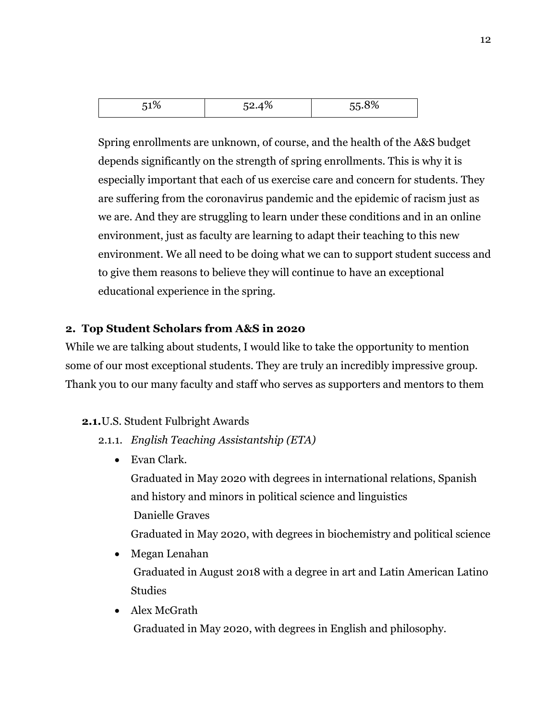| E.<br>$\mathcal{L}_{\ell}$<br>$\cdot$<br>ັບປ∙ີ້<br>. <b>.</b> |
|---------------------------------------------------------------|
|---------------------------------------------------------------|

Spring enrollments are unknown, of course, and the health of the A&S budget depends significantly on the strength of spring enrollments. This is why it is especially important that each of us exercise care and concern for students. They are suffering from the coronavirus pandemic and the epidemic of racism just as we are. And they are struggling to learn under these conditions and in an online environment, just as faculty are learning to adapt their teaching to this new environment. We all need to be doing what we can to support student success and to give them reasons to believe they will continue to have an exceptional educational experience in the spring.

### **2. Top Student Scholars from A&S in 2020**

While we are talking about students, I would like to take the opportunity to mention some of our most exceptional students. They are truly an incredibly impressive group. Thank you to our many faculty and staff who serves as supporters and mentors to them

### **2.1.**U.S. Student Fulbright Awards

- 2.1.1. *English Teaching Assistantship (ETA)*
	- Evan Clark.

Graduated in May 2020 with degrees in international relations, Spanish and history and minors in political science and linguistics Danielle Graves

Graduated in May 2020, with degrees in biochemistry and political science

- Megan Lenahan Graduated in August 2018 with a degree in art and Latin American Latino **Studies**
- Alex McGrath

Graduated in May 2020, with degrees in English and philosophy.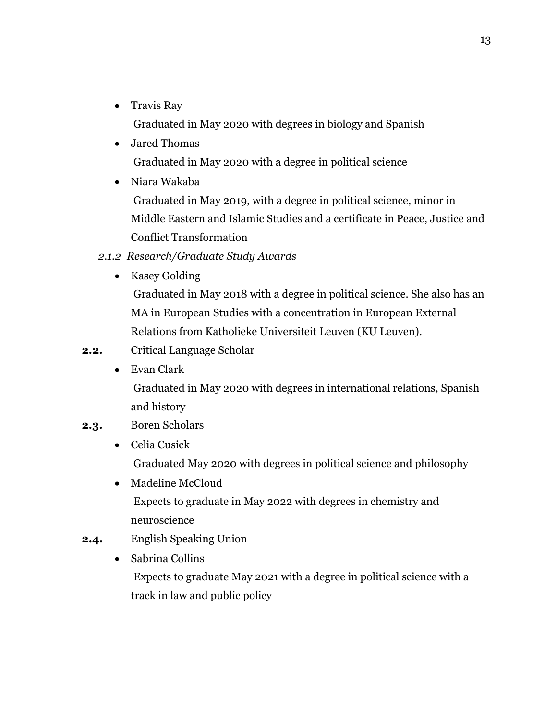- Travis Ray Graduated in May 2020 with degrees in biology and Spanish
- Jared Thomas Graduated in May 2020 with a degree in political science
- Niara Wakaba Graduated in May 2019, with a degree in political science, minor in Middle Eastern and Islamic Studies and a certificate in Peace, Justice and Conflict Transformation

## *2.1.2 Research/Graduate Study Awards*

• Kasey Golding

Graduated in May 2018 with a degree in political science. She also has an MA in European Studies with a concentration in European External Relations from Katholieke Universiteit Leuven (KU Leuven).

- **2.2.** Critical Language Scholar
	- Evan Clark

Graduated in May 2020 with degrees in international relations, Spanish and history

## **2.3.** Boren Scholars

- Celia Cusick Graduated May 2020 with degrees in political science and philosophy
- Madeline McCloud Expects to graduate in May 2022 with degrees in chemistry and neuroscience
- **2.4.** English Speaking Union
	- Sabrina Collins Expects to graduate May 2021 with a degree in political science with a track in law and public policy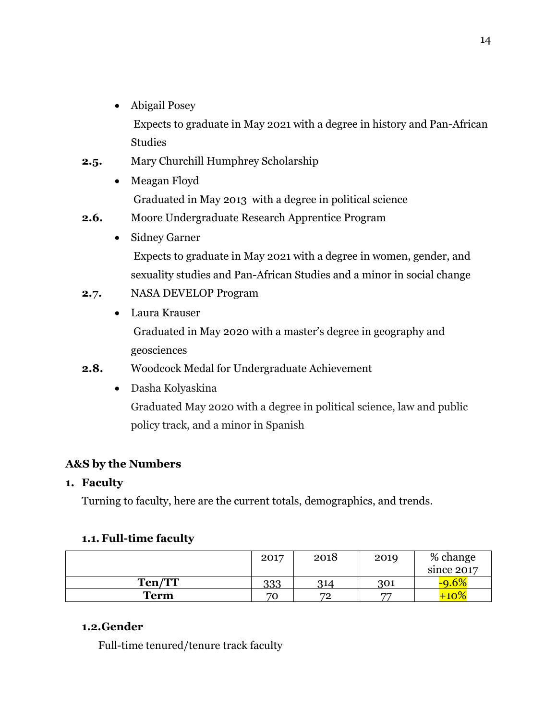• Abigail Posey

Expects to graduate in May 2021 with a degree in history and Pan-African Studies

- **2.5.** Mary Churchill Humphrey Scholarship
	- Meagan Floyd Graduated in May 2013 with a degree in political science
- **2.6.** Moore Undergraduate Research Apprentice Program
	- Sidney Garner Expects to graduate in May 2021 with a degree in women, gender, and sexuality studies and Pan-African Studies and a minor in social change
- **2.7.** NASA DEVELOP Program
	- Laura Krauser Graduated in May 2020 with a master's degree in geography and geosciences
- **2.8.** Woodcock Medal for Undergraduate Achievement
	- Dasha Kolyaskina Graduated May 2020 with a degree in political science, law and public policy track, and a minor in Spanish

# **A&S by the Numbers**

## **1. Faculty**

Turning to faculty, here are the current totals, demographics, and trends.

## **1.1.Full-time faculty**

|             | 2017 | 2018    | 2019 | % change   |
|-------------|------|---------|------|------------|
|             |      |         |      | since 2017 |
| Ten/TT      | 333  | 314     | 301  |            |
| <b>Term</b> | 70   | 79<br>∼ | 77   |            |

## **1.2.Gender**

Full-time tenured/tenure track faculty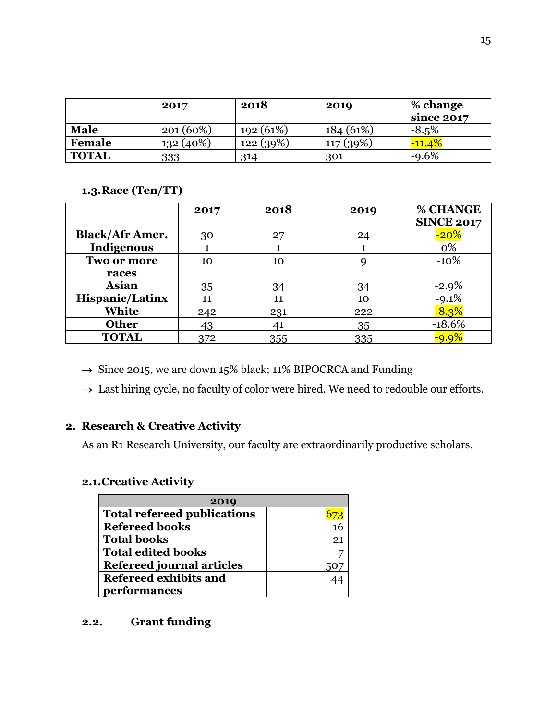|              | 2017        | 2018     | 2019     | % change<br>since 2017 |
|--------------|-------------|----------|----------|------------------------|
| <b>Male</b>  | $201(60\%)$ | 192(61%) | 184(61%) | $-8.5\%$               |
| Female       | $132(40\%)$ | 122(39%) | 117(39%) | $-11.4%$               |
| <b>TOTAL</b> | 333         | 314      | 301      | $-9.6%$                |

### **1.3.Race (Ten/TT)**

|                        | 2017 | 2018 | 2019 | % CHANGE          |
|------------------------|------|------|------|-------------------|
|                        |      |      |      | <b>SINCE 2017</b> |
| <b>Black/Afr Amer.</b> | 30   | 27   | 24   | $-20%$            |
| Indigenous             |      |      |      | 0%                |
| Two or more            | 10   | 10   |      | $-10%$            |
| races                  |      |      |      |                   |
| <b>Asian</b>           | 35   | 34   | 34   | $-2.9%$           |
| <b>Hispanic/Latinx</b> | 11   | 11   | 10   | $-9.1%$           |
| White                  | 242  | 231  | 222  | $-8.3%$           |
| <b>Other</b>           | 43   | 41   | 35   | $-18.6%$          |
| <b>TOTAL</b>           | 372  | 355  | 335  | $-9.9\%$          |

 $\rightarrow$  Since 2015, we are down 15% black; 11% BIPOCRCA and Funding

 $\rightarrow$  Last hiring cycle, no faculty of color were hired. We need to redouble our efforts.

## **2. Research & Creative Activity**

As an R1 Research University, our faculty are extraordinarily productive scholars.

## **2.1.Creative Activity**

| 2019                               |    |  |  |
|------------------------------------|----|--|--|
| <b>Total refereed publications</b> |    |  |  |
| <b>Refereed books</b>              |    |  |  |
| <b>Total books</b>                 | 21 |  |  |
| <b>Total edited books</b>          |    |  |  |
| <b>Refereed journal articles</b>   |    |  |  |
| Refereed exhibits and              |    |  |  |
| performances                       |    |  |  |

## **2.2. Grant funding**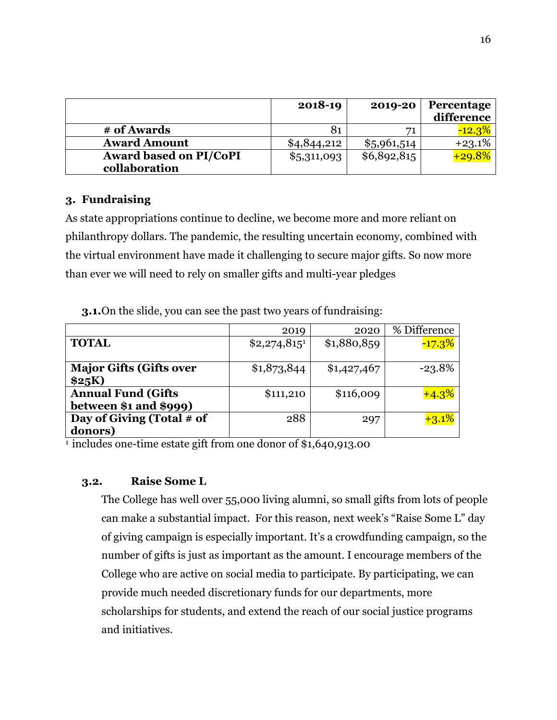|                               | 2018-19     | 2019-20     | Percentage<br>difference |
|-------------------------------|-------------|-------------|--------------------------|
| # of Awards                   | 81          | 71          | $-12.3%$                 |
| <b>Award Amount</b>           | \$4,844,212 | \$5,961,514 | $+23.1%$                 |
| <b>Award based on PI/CoPI</b> | \$5,311,093 | \$6,892,815 | $+29.8%$                 |
| collaboration                 |             |             |                          |

### **3. Fundraising**

As state appropriations continue to decline, we become more and more reliant on philanthropy dollars. The pandemic, the resulting uncertain economy, combined with the virtual environment have made it challenging to secure major gifts. So now more than ever we will need to rely on smaller gifts and multi-year pledges

|                                | 2019           | 2020        | % Difference |
|--------------------------------|----------------|-------------|--------------|
| <b>TOTAL</b>                   | $$2,274,815^1$ | \$1,880,859 | $-17.3%$     |
|                                |                |             |              |
| <b>Major Gifts (Gifts over</b> | \$1,873,844    | \$1,427,467 | $-23.8%$     |
| \$25K)                         |                |             |              |
| <b>Annual Fund (Gifts)</b>     | \$111,210      | \$116,009   | $+4.3%$      |
| between $$1$ and $$999$ )      |                |             |              |
| Day of Giving (Total # of      | 288            | 297         | $+3.1%$      |
| donors)                        |                |             |              |

**3.1.**On the slide, you can see the past two years of fundraising:

1 includes one-time estate gift from one donor of \$1,640,913.00

### **3.2. Raise Some L**

The College has well over 55,000 living alumni, so small gifts from lots of people can make a substantial impact. For this reason, next week's "Raise Some L" day of giving campaign is especially important. It's a crowdfunding campaign, so the number of gifts is just as important as the amount. I encourage members of the College who are active on social media to participate. By participating, we can provide much needed discretionary funds for our departments, more scholarships for students, and extend the reach of our social justice programs and initiatives.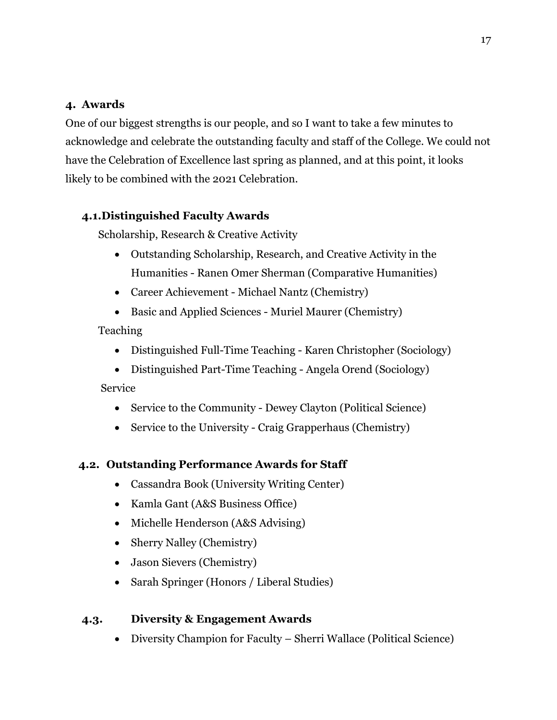## **4. Awards**

One of our biggest strengths is our people, and so I want to take a few minutes to acknowledge and celebrate the outstanding faculty and staff of the College. We could not have the Celebration of Excellence last spring as planned, and at this point, it looks likely to be combined with the 2021 Celebration.

## **4.1.Distinguished Faculty Awards**

Scholarship, Research & Creative Activity

- Outstanding Scholarship, Research, and Creative Activity in the Humanities - Ranen Omer Sherman (Comparative Humanities)
- Career Achievement Michael Nantz (Chemistry)
- Basic and Applied Sciences Muriel Maurer (Chemistry)

## Teaching

- Distinguished Full-Time Teaching Karen Christopher (Sociology)
- Distinguished Part-Time Teaching Angela Orend (Sociology)

Service

- Service to the Community Dewey Clayton (Political Science)
- Service to the University Craig Grapperhaus (Chemistry)

# **4.2. Outstanding Performance Awards for Staff**

- Cassandra Book (University Writing Center)
- Kamla Gant (A&S Business Office)
- Michelle Henderson (A&S Advising)
- Sherry Nalley (Chemistry)
- Jason Sievers (Chemistry)
- Sarah Springer (Honors / Liberal Studies)

## **4.3. Diversity & Engagement Awards**

• Diversity Champion for Faculty – Sherri Wallace (Political Science)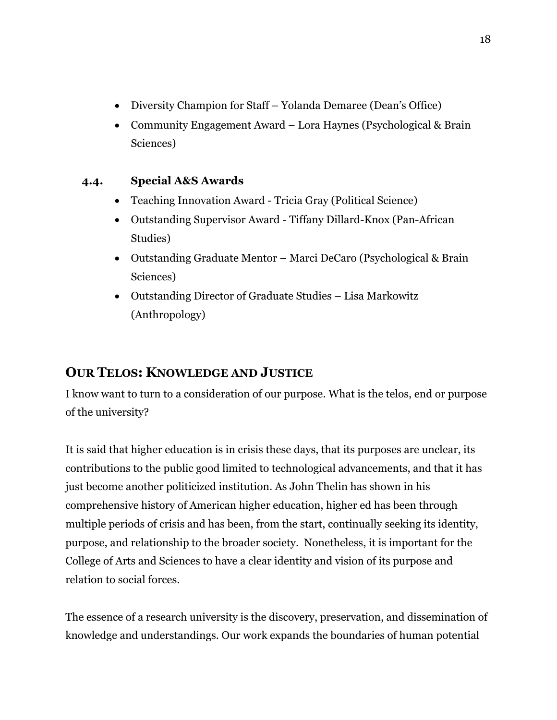- Diversity Champion for Staff Yolanda Demaree (Dean's Office)
- Community Engagement Award Lora Haynes (Psychological & Brain Sciences)

# **4.4. Special A&S Awards**

- Teaching Innovation Award Tricia Gray (Political Science)
- Outstanding Supervisor Award Tiffany Dillard-Knox (Pan-African Studies)
- Outstanding Graduate Mentor Marci DeCaro (Psychological & Brain Sciences)
- Outstanding Director of Graduate Studies Lisa Markowitz (Anthropology)

# **OUR TELOS: KNOWLEDGE AND JUSTICE**

I know want to turn to a consideration of our purpose. What is the telos, end or purpose of the university?

It is said that higher education is in crisis these days, that its purposes are unclear, its contributions to the public good limited to technological advancements, and that it has just become another politicized institution. As John Thelin has shown in his comprehensive history of American higher education, higher ed has been through multiple periods of crisis and has been, from the start, continually seeking its identity, purpose, and relationship to the broader society. Nonetheless, it is important for the College of Arts and Sciences to have a clear identity and vision of its purpose and relation to social forces.

The essence of a research university is the discovery, preservation, and dissemination of knowledge and understandings. Our work expands the boundaries of human potential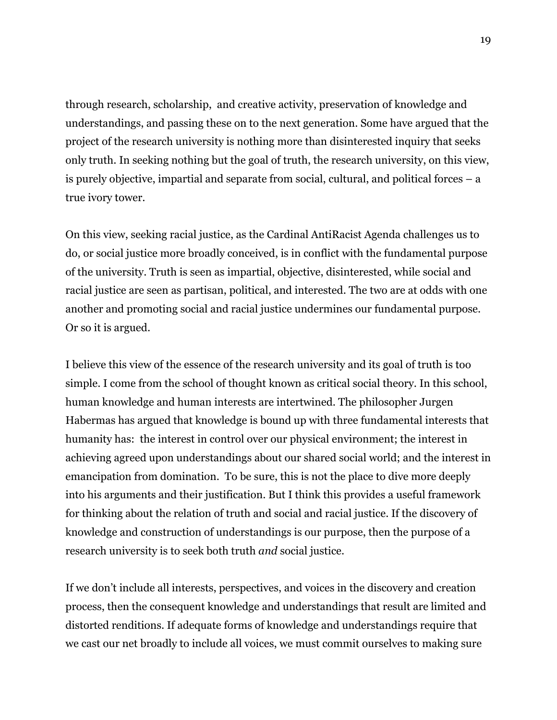through research, scholarship, and creative activity, preservation of knowledge and understandings, and passing these on to the next generation. Some have argued that the project of the research university is nothing more than disinterested inquiry that seeks only truth. In seeking nothing but the goal of truth, the research university, on this view, is purely objective, impartial and separate from social, cultural, and political forces – a true ivory tower.

On this view, seeking racial justice, as the Cardinal AntiRacist Agenda challenges us to do, or social justice more broadly conceived, is in conflict with the fundamental purpose of the university. Truth is seen as impartial, objective, disinterested, while social and racial justice are seen as partisan, political, and interested. The two are at odds with one another and promoting social and racial justice undermines our fundamental purpose. Or so it is argued.

I believe this view of the essence of the research university and its goal of truth is too simple. I come from the school of thought known as critical social theory. In this school, human knowledge and human interests are intertwined. The philosopher Jurgen Habermas has argued that knowledge is bound up with three fundamental interests that humanity has: the interest in control over our physical environment; the interest in achieving agreed upon understandings about our shared social world; and the interest in emancipation from domination. To be sure, this is not the place to dive more deeply into his arguments and their justification. But I think this provides a useful framework for thinking about the relation of truth and social and racial justice. If the discovery of knowledge and construction of understandings is our purpose, then the purpose of a research university is to seek both truth *and* social justice.

If we don't include all interests, perspectives, and voices in the discovery and creation process, then the consequent knowledge and understandings that result are limited and distorted renditions. If adequate forms of knowledge and understandings require that we cast our net broadly to include all voices, we must commit ourselves to making sure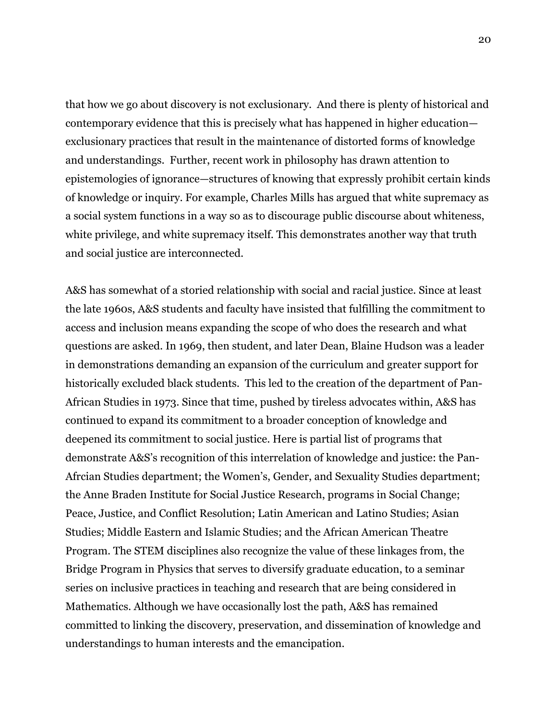that how we go about discovery is not exclusionary. And there is plenty of historical and contemporary evidence that this is precisely what has happened in higher education exclusionary practices that result in the maintenance of distorted forms of knowledge and understandings. Further, recent work in philosophy has drawn attention to epistemologies of ignorance—structures of knowing that expressly prohibit certain kinds of knowledge or inquiry. For example, Charles Mills has argued that white supremacy as a social system functions in a way so as to discourage public discourse about whiteness, white privilege, and white supremacy itself. This demonstrates another way that truth and social justice are interconnected.

A&S has somewhat of a storied relationship with social and racial justice. Since at least the late 1960s, A&S students and faculty have insisted that fulfilling the commitment to access and inclusion means expanding the scope of who does the research and what questions are asked. In 1969, then student, and later Dean, Blaine Hudson was a leader in demonstrations demanding an expansion of the curriculum and greater support for historically excluded black students. This led to the creation of the department of Pan-African Studies in 1973. Since that time, pushed by tireless advocates within, A&S has continued to expand its commitment to a broader conception of knowledge and deepened its commitment to social justice. Here is partial list of programs that demonstrate A&S's recognition of this interrelation of knowledge and justice: the Pan-Afrcian Studies department; the Women's, Gender, and Sexuality Studies department; the Anne Braden Institute for Social Justice Research, programs in Social Change; Peace, Justice, and Conflict Resolution; Latin American and Latino Studies; Asian Studies; Middle Eastern and Islamic Studies; and the African American Theatre Program. The STEM disciplines also recognize the value of these linkages from, the Bridge Program in Physics that serves to diversify graduate education, to a seminar series on inclusive practices in teaching and research that are being considered in Mathematics. Although we have occasionally lost the path, A&S has remained committed to linking the discovery, preservation, and dissemination of knowledge and understandings to human interests and the emancipation.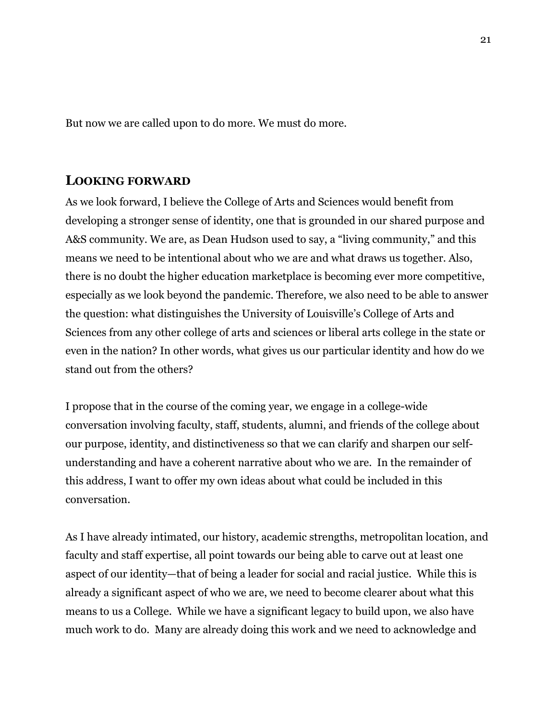But now we are called upon to do more. We must do more.

### **LOOKING FORWARD**

As we look forward, I believe the College of Arts and Sciences would benefit from developing a stronger sense of identity, one that is grounded in our shared purpose and A&S community. We are, as Dean Hudson used to say, a "living community," and this means we need to be intentional about who we are and what draws us together. Also, there is no doubt the higher education marketplace is becoming ever more competitive, especially as we look beyond the pandemic. Therefore, we also need to be able to answer the question: what distinguishes the University of Louisville's College of Arts and Sciences from any other college of arts and sciences or liberal arts college in the state or even in the nation? In other words, what gives us our particular identity and how do we stand out from the others?

I propose that in the course of the coming year, we engage in a college-wide conversation involving faculty, staff, students, alumni, and friends of the college about our purpose, identity, and distinctiveness so that we can clarify and sharpen our selfunderstanding and have a coherent narrative about who we are. In the remainder of this address, I want to offer my own ideas about what could be included in this conversation.

As I have already intimated, our history, academic strengths, metropolitan location, and faculty and staff expertise, all point towards our being able to carve out at least one aspect of our identity—that of being a leader for social and racial justice. While this is already a significant aspect of who we are, we need to become clearer about what this means to us a College. While we have a significant legacy to build upon, we also have much work to do. Many are already doing this work and we need to acknowledge and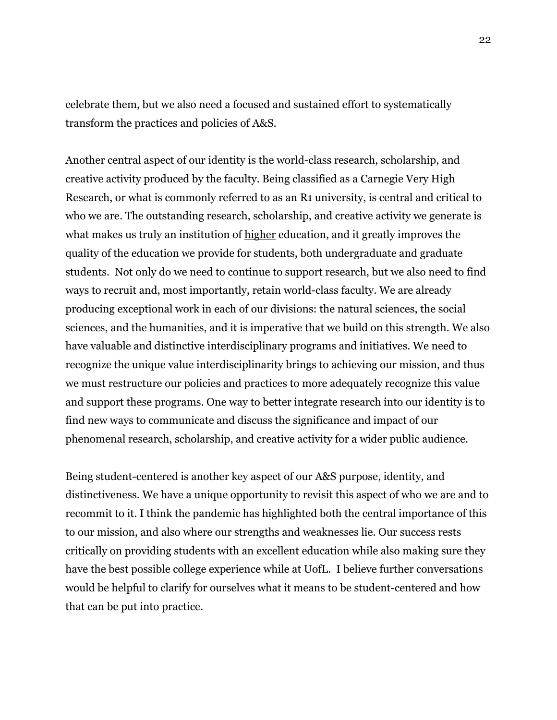celebrate them, but we also need a focused and sustained effort to systematically transform the practices and policies of A&S.

Another central aspect of our identity is the world-class research, scholarship, and creative activity produced by the faculty. Being classified as a Carnegie Very High Research, or what is commonly referred to as an R1 university, is central and critical to who we are. The outstanding research, scholarship, and creative activity we generate is what makes us truly an institution of higher education, and it greatly improves the quality of the education we provide for students, both undergraduate and graduate students. Not only do we need to continue to support research, but we also need to find ways to recruit and, most importantly, retain world-class faculty. We are already producing exceptional work in each of our divisions: the natural sciences, the social sciences, and the humanities, and it is imperative that we build on this strength. We also have valuable and distinctive interdisciplinary programs and initiatives. We need to recognize the unique value interdisciplinarity brings to achieving our mission, and thus we must restructure our policies and practices to more adequately recognize this value and support these programs. One way to better integrate research into our identity is to find new ways to communicate and discuss the significance and impact of our phenomenal research, scholarship, and creative activity for a wider public audience.

Being student-centered is another key aspect of our A&S purpose, identity, and distinctiveness. We have a unique opportunity to revisit this aspect of who we are and to recommit to it. I think the pandemic has highlighted both the central importance of this to our mission, and also where our strengths and weaknesses lie. Our success rests critically on providing students with an excellent education while also making sure they have the best possible college experience while at UofL. I believe further conversations would be helpful to clarify for ourselves what it means to be student-centered and how that can be put into practice.